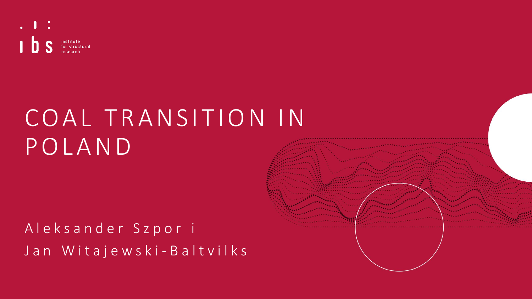

# COAL TRANSITION IN POLAND

# A l e k s a n d e r S z p o r i Jan Witajewski-Baltvilks

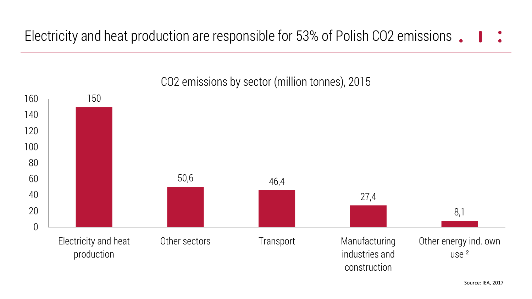Electricity and heat production are responsible for 53% of Polish CO2 emissions



CO2 emissions by sector (million tonnes), 2015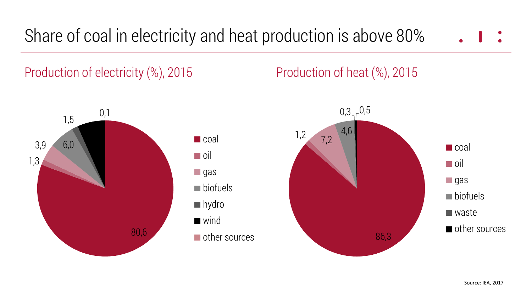# Share of coal in electricity and heat production is above 80%

Production of electricity  $\%$ , 2015 Production of heat  $\%$ , 2015



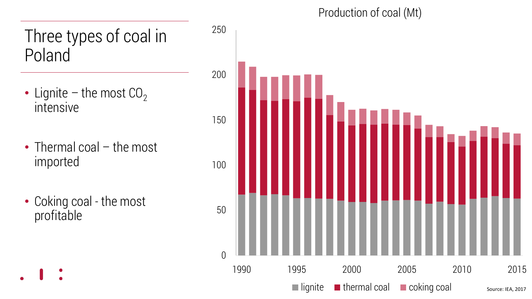## Three types of coal in Poland

- Lignite the most  $CO<sub>2</sub>$ intensive
- Thermal coal the most imported
- Coking coal the most profitable

Production of coal (Mt)

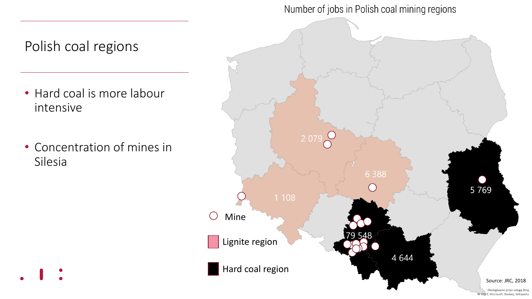### Number of jobs in Polish coal mining regions





Obsługiwane przez usługę Bing MSET, Microsoft, Navteg, Wikipedia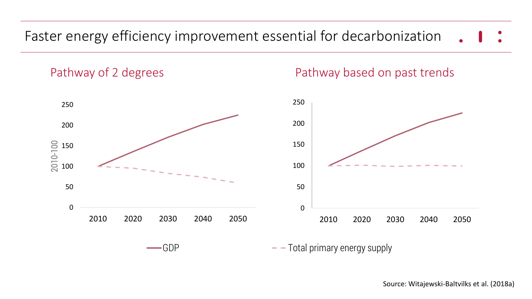### Faster energy efficiency improvement essential for decarbonization

Pathway of 2 degrees **Pathway based on past trends** 

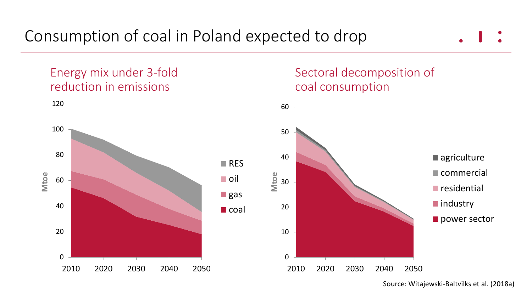

Source: Witajewski-Baltvilks et al. (2018a)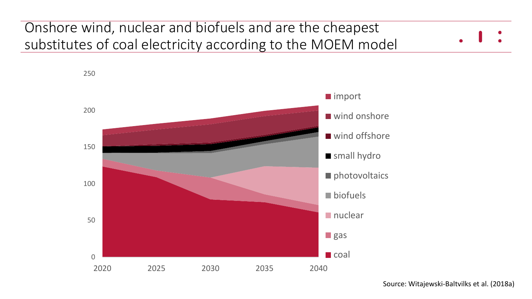### Onshore wind, nuclear and biofuels and are the cheapest substitutes of coal electricity according to the MOEM model



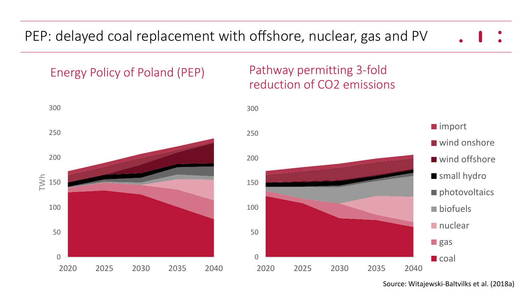PEP: delayed coal replacement with offshore, nuclear, gas and PV

Energy Policy of Poland (PEP) Pathway permitting 3-fold



# reduction of CO2 emissions



Source: Witajewski-Baltvilks et al. (2018a)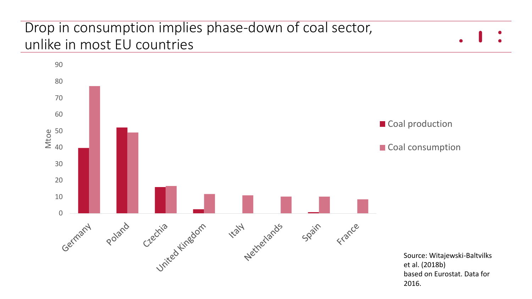### Drop in consumption implies phase-down of coal sector, unlike in most EU countries

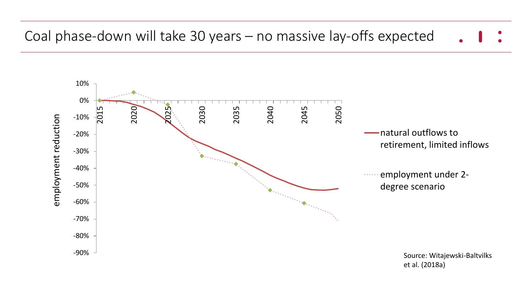### Coal phase-down will take 30 years – no massive lay-offs expected

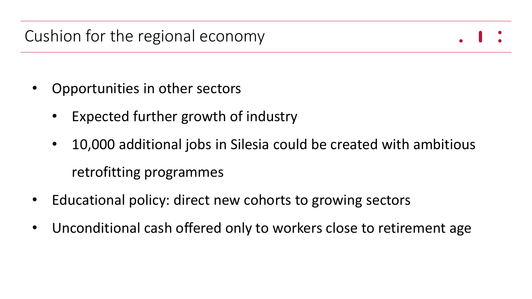- Opportunities in other sectors
	- Expected further growth of industry
	- 10,000 additional jobs in Silesia could be created with ambitious retrofitting programmes
- Educational policy: direct new cohorts to growing sectors
- Unconditional cash offered only to workers close to retirement age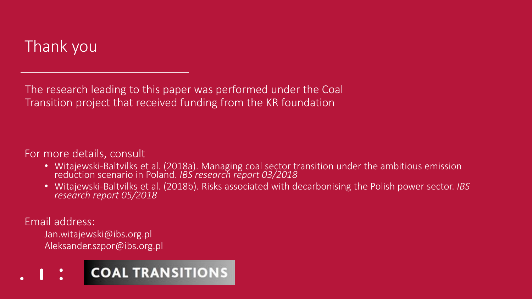## Thank you

The research leading to this paper was performed under the Coal Transition project that received funding from the KR foundation

### For more details, consult

- Witajewski-Baltvilks et al. (2018a). Managing coal sector transition under the ambitious emission reduction scenario in Poland. *IBS research report 03/2018*
- Witajewski-Baltvilks et al. (2018b). Risks associated with decarbonising the Polish power sector. *IBS research report 05/2018*

#### Email address:

Jan.witajewski@ibs.org.pl Aleksander.szpor@ibs.org.pl